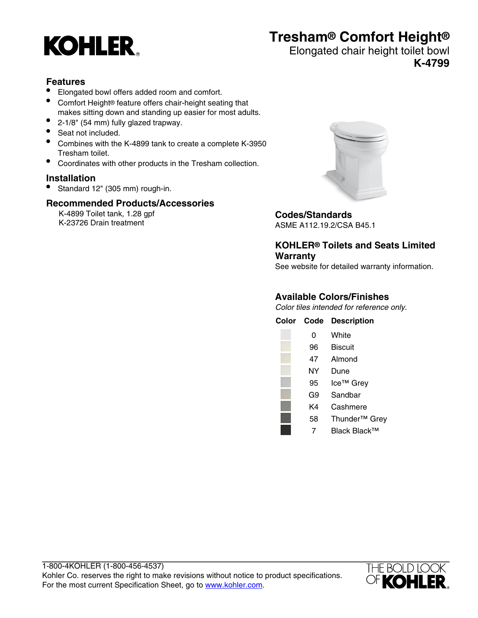

# **Tresham® Comfort Height®**

#### Elongated chair height toilet bowl **K-4799**

### **Features**

- Elongated bowl offers added room and comfort.
- Comfort Height® feature offers chair-height seating that makes sitting down and standing up easier for most adults.
- 2-1/8" (54 mm) fully glazed trapway.
- Seat not included.
- Combines with the K-4899 tank to create a complete K-3950 Tresham toilet.
- Coordinates with other products in the Tresham collection.

#### **Installation**

• Standard 12" (305 mm) rough-in.

#### **Recommended Products/Accessories**

K-4899 Toilet tank, 1.28 gpf K-23726 Drain treatment



## **Codes/Standards**

ASME A112.19.2/CSA B45.1

### **KOHLER® Toilets and Seats Limited Warranty**

See website for detailed warranty information.

#### **Available Colors/Finishes**

Color tiles intended for reference only.

| Color | Code | <b>Description</b>        |
|-------|------|---------------------------|
|       | 0    | White                     |
|       | 96   | Biscuit                   |
|       | 47   | Almond                    |
|       | NΥ   | Dune                      |
|       | 95   | Ice <sup>™</sup> Grey     |
|       | G9   | Sandbar                   |
|       | K4   | Cashmere                  |
|       | 58   | Thunder <sup>™</sup> Grey |
|       |      | Black Black™              |